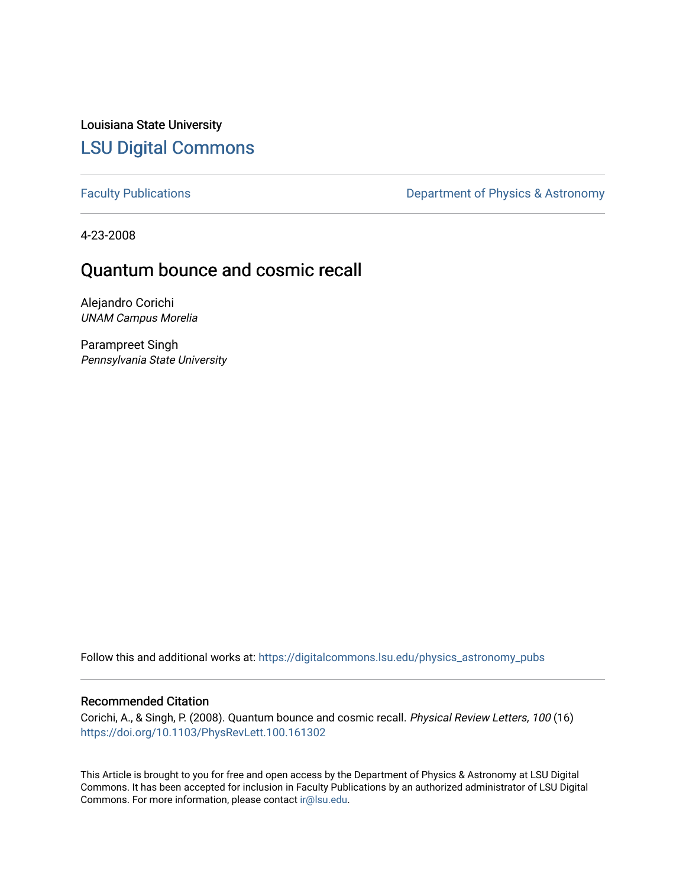Louisiana State University [LSU Digital Commons](https://digitalcommons.lsu.edu/)

[Faculty Publications](https://digitalcommons.lsu.edu/physics_astronomy_pubs) **Exercise 2** Constant Department of Physics & Astronomy

4-23-2008

## Quantum bounce and cosmic recall

Alejandro Corichi UNAM Campus Morelia

Parampreet Singh Pennsylvania State University

Follow this and additional works at: [https://digitalcommons.lsu.edu/physics\\_astronomy\\_pubs](https://digitalcommons.lsu.edu/physics_astronomy_pubs?utm_source=digitalcommons.lsu.edu%2Fphysics_astronomy_pubs%2F5077&utm_medium=PDF&utm_campaign=PDFCoverPages) 

## Recommended Citation

Corichi, A., & Singh, P. (2008). Quantum bounce and cosmic recall. Physical Review Letters, 100 (16) <https://doi.org/10.1103/PhysRevLett.100.161302>

This Article is brought to you for free and open access by the Department of Physics & Astronomy at LSU Digital Commons. It has been accepted for inclusion in Faculty Publications by an authorized administrator of LSU Digital Commons. For more information, please contact [ir@lsu.edu](mailto:ir@lsu.edu).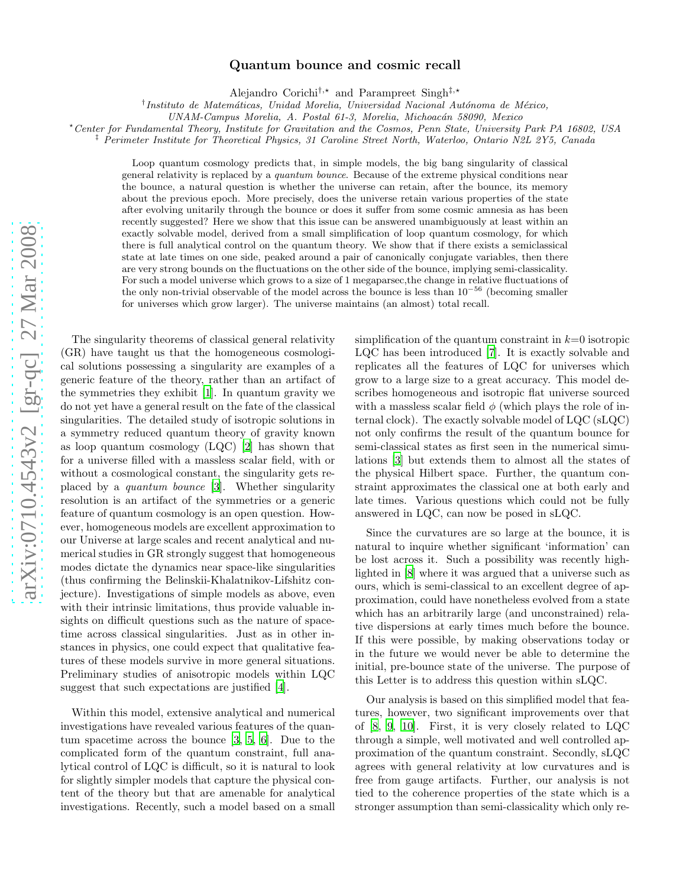## arXiv:0710.4543v2 [gr-qc] 27 Mar 2008 [arXiv:0710.4543v2 \[gr-qc\] 27 Mar 2008](http://arxiv.org/abs/0710.4543v2)

## Quantum bounce and cosmic recall

Alejandro Corichi<sup>†,\*</sup> and Parampreet Singh<sup>‡,\*</sup>

<sup>†</sup>Instituto de Matemáticas, Unidad Morelia, Universidad Nacional Autónoma de México,

UNAM-Campus Morelia, A. Postal 61-3, Morelia, Michoacán 58090, Mexico

<sup>⋆</sup>Center for Fundamental Theory, Institute for Gravitation and the Cosmos, Penn State, University Park PA 16802, USA

‡ Perimeter Institute for Theoretical Physics, 31 Caroline Street North, Waterloo, Ontario N2L 2Y5, Canada

Loop quantum cosmology predicts that, in simple models, the big bang singularity of classical general relativity is replaced by a quantum bounce. Because of the extreme physical conditions near the bounce, a natural question is whether the universe can retain, after the bounce, its memory about the previous epoch. More precisely, does the universe retain various properties of the state after evolving unitarily through the bounce or does it suffer from some cosmic amnesia as has been recently suggested? Here we show that this issue can be answered unambiguously at least within an exactly solvable model, derived from a small simplification of loop quantum cosmology, for which there is full analytical control on the quantum theory. We show that if there exists a semiclassical state at late times on one side, peaked around a pair of canonically conjugate variables, then there are very strong bounds on the fluctuations on the other side of the bounce, implying semi-classicality. For such a model universe which grows to a size of 1 megaparsec,the change in relative fluctuations of the only non-trivial observable of the model across the bounce is less than  $10^{-56}$  (becoming smaller for universes which grow larger). The universe maintains (an almost) total recall.

The singularity theorems of classical general relativity (GR) have taught us that the homogeneous cosmological solutions possessing a singularity are examples of a generic feature of the theory, rather than an artifact of the symmetries they exhibit [\[1](#page-4-0)]. In quantum gravity we do not yet have a general result on the fate of the classical singularities. The detailed study of isotropic solutions in a symmetry reduced quantum theory of gravity known as loop quantum cosmology (LQC) [\[2\]](#page-4-1) has shown that for a universe filled with a massless scalar field, with or without a cosmological constant, the singularity gets replaced by a quantum bounce [\[3\]](#page-4-2). Whether singularity resolution is an artifact of the symmetries or a generic feature of quantum cosmology is an open question. However, homogeneous models are excellent approximation to our Universe at large scales and recent analytical and numerical studies in GR strongly suggest that homogeneous modes dictate the dynamics near space-like singularities (thus confirming the Belinskii-Khalatnikov-Lifshitz conjecture). Investigations of simple models as above, even with their intrinsic limitations, thus provide valuable insights on difficult questions such as the nature of spacetime across classical singularities. Just as in other instances in physics, one could expect that qualitative features of these models survive in more general situations. Preliminary studies of anisotropic models within LQC suggest that such expectations are justified [\[4\]](#page-4-3).

Within this model, extensive analytical and numerical investigations have revealed various features of the quantum spacetime across the bounce [\[3,](#page-4-2) [5,](#page-4-4) [6\]](#page-4-5). Due to the complicated form of the quantum constraint, full analytical control of LQC is difficult, so it is natural to look for slightly simpler models that capture the physical content of the theory but that are amenable for analytical investigations. Recently, such a model based on a small

simplification of the quantum constraint in  $k=0$  isotropic LQC has been introduced [\[7\]](#page-4-6). It is exactly solvable and replicates all the features of LQC for universes which grow to a large size to a great accuracy. This model describes homogeneous and isotropic flat universe sourced with a massless scalar field  $\phi$  (which plays the role of internal clock). The exactly solvable model of LQC (sLQC) not only confirms the result of the quantum bounce for semi-classical states as first seen in the numerical simulations [\[3\]](#page-4-2) but extends them to almost all the states of the physical Hilbert space. Further, the quantum constraint approximates the classical one at both early and late times. Various questions which could not be fully answered in LQC, can now be posed in sLQC.

Since the curvatures are so large at the bounce, it is natural to inquire whether significant 'information' can be lost across it. Such a possibility was recently highlighted in [\[8\]](#page-4-7) where it was argued that a universe such as ours, which is semi-classical to an excellent degree of approximation, could have nonetheless evolved from a state which has an arbitrarily large (and unconstrained) relative dispersions at early times much before the bounce. If this were possible, by making observations today or in the future we would never be able to determine the initial, pre-bounce state of the universe. The purpose of this Letter is to address this question within sLQC.

Our analysis is based on this simplified model that features, however, two significant improvements over that of [\[8,](#page-4-7) [9,](#page-4-8) [10\]](#page-4-9). First, it is very closely related to LQC through a simple, well motivated and well controlled approximation of the quantum constraint. Secondly, sLQC agrees with general relativity at low curvatures and is free from gauge artifacts. Further, our analysis is not tied to the coherence properties of the state which is a stronger assumption than semi-classicality which only re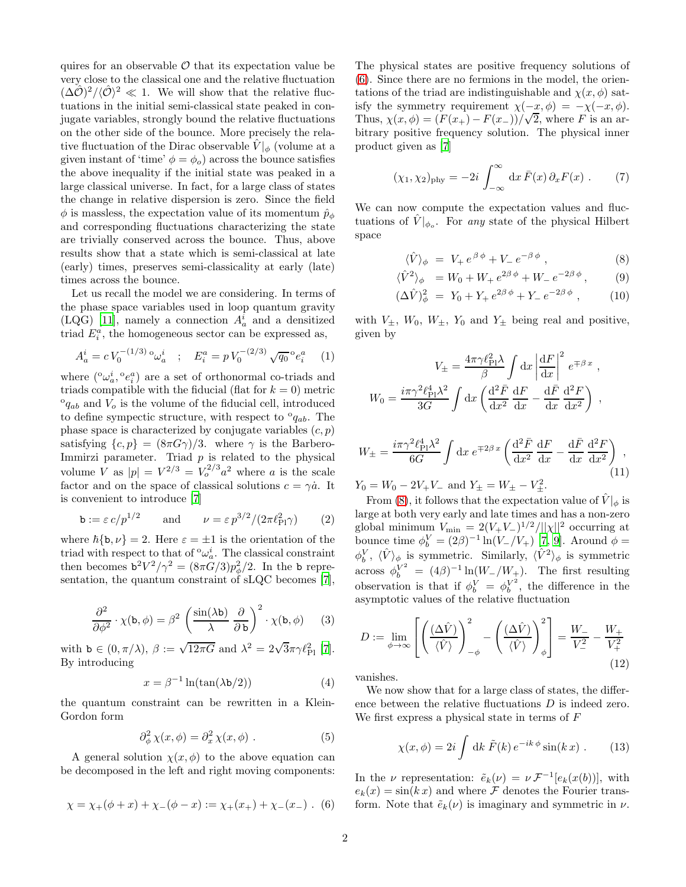quires for an observable  $\mathcal O$  that its expectation value be very close to the classical one and the relative fluctuation  $(\Delta \hat{\mathcal{O}})^2 / \langle \hat{\mathcal{O}} \rangle^2 \ll 1$ . We will show that the relative fluctuations in the initial semi-classical state peaked in conjugate variables, strongly bound the relative fluctuations on the other side of the bounce. More precisely the relative fluctuation of the Dirac observable  $\hat{V}|_{\phi}$  (volume at a given instant of 'time'  $\phi = \phi_o$ ) across the bounce satisfies the above inequality if the initial state was peaked in a large classical universe. In fact, for a large class of states the change in relative dispersion is zero. Since the field  $\phi$  is massless, the expectation value of its momentum  $\hat{p}_{\phi}$ and corresponding fluctuations characterizing the state are trivially conserved across the bounce. Thus, above results show that a state which is semi-classical at late (early) times, preserves semi-classicality at early (late) times across the bounce.

Let us recall the model we are considering. In terms of the phase space variables used in loop quantum gravity (LQG) [\[11\]](#page-4-10), namely a connection  $A_a^i$  and a densitized triad  $E_i^a$ , the homogeneous sector can be expressed as,

$$
A_a^i = c V_0^{-(1/3)} \, {}^{\circ}\omega_a^i \quad ; \quad E_i^a = p V_0^{-(2/3)} \sqrt{q_0} \, {}^{\circ}e_i^a \tag{1}
$$

where  $({}^{\circ}\omega_a^i, {}^{\circ}e_i^a)$  are a set of orthonormal co-triads and triads compatible with the fiducial (flat for  $k = 0$ ) metric  ${}^{\circ}q_{ab}$  and  $V_o$  is the volume of the fiducial cell, introduced to define sympectic structure, with respect to  ${}^{\circ}q_{ab}$ . The phase space is characterized by conjugate variables  $(c, p)$ satisfying  $\{c, p\} = (8\pi G\gamma)/3$ . where  $\gamma$  is the Barbero-Immirzi parameter. Triad  $p$  is related to the physical volume V as  $|p| = V^{2/3} = V_o^{2/3} a^2$  where a is the scale factor and on the space of classical solutions  $c = \gamma \dot{a}$ . It is convenient to introduce [\[7\]](#page-4-6)

$$
\mathbf{b} := \varepsilon \, c / p^{1/2} \qquad \text{and} \qquad \nu = \varepsilon \, p^{3/2} / (2\pi \ell_{\text{Pl}}^2 \gamma) \tag{2}
$$

where  $\hbar \{\mathbf{b}, \nu\} = 2$ . Here  $\varepsilon = \pm 1$  is the orientation of the triad with respect to that of  $\alpha^i_\alpha$ . The classical constraint then becomes  $b^2V^2/\gamma^2 = (8\pi \tilde{G}/3)p_\phi^2/2$ . In the b representation, the quantum constraint of sLQC becomes [\[7\]](#page-4-6),

$$
\frac{\partial^2}{\partial \phi^2} \cdot \chi(\mathbf{b}, \phi) = \beta^2 \left( \frac{\sin(\lambda \mathbf{b})}{\lambda} \frac{\partial}{\partial \mathbf{b}} \right)^2 \cdot \chi(\mathbf{b}, \phi) \tag{3}
$$

with  $\mathbf{b} \in (0, \pi/\lambda), \ \beta := \sqrt{12\pi G}$  and  $\lambda^2 = 2\sqrt{3}\pi\gamma \ell_{\rm Pl}^2$  [\[7\]](#page-4-6). By introducing

<span id="page-2-3"></span>
$$
x = \beta^{-1} \ln(\tan(\lambda \mathsf{b}/2)) \tag{4}
$$

the quantum constraint can be rewritten in a Klein-Gordon form

$$
\partial_{\phi}^{2} \chi(x,\phi) = \partial_{x}^{2} \chi(x,\phi) . \tag{5}
$$

A general solution  $\chi(x, \phi)$  to the above equation can be decomposed in the left and right moving components:

<span id="page-2-0"></span>
$$
\chi = \chi_{+}(\phi + x) + \chi_{-}(\phi - x) := \chi_{+}(x_{+}) + \chi_{-}(x_{-}) . (6)
$$

The physical states are positive frequency solutions of [\(6\)](#page-2-0). Since there are no fermions in the model, the orientations of the triad are indistinguishable and  $\chi(x, \phi)$  satisfy the symmetry requirement  $\chi(-x, \phi) = -\chi(-x, \phi)$ . Thus,  $\chi(x,\phi) = (F(x_+) - F(x_-))/\sqrt{2}$ , where F is an arbitrary positive frequency solution. The physical inner product given as [\[7](#page-4-6)]

$$
(\chi_1, \chi_2)_{\text{phy}} = -2i \int_{-\infty}^{\infty} dx \,\overline{F}(x) \,\partial_x F(x) \; . \tag{7}
$$

We can now compute the expectation values and fluctuations of  $\hat{V}|_{\phi_o}$ . For any state of the physical Hilbert space

<span id="page-2-1"></span>
$$
\langle \hat{V} \rangle_{\phi} = V_{+} e^{\beta \phi} + V_{-} e^{-\beta \phi} , \qquad (8)
$$

$$
\langle \hat{V}^2 \rangle_{\phi} = W_0 + W_+ e^{2\beta \phi} + W_- e^{-2\beta \phi}, \qquad (9)
$$

$$
(\Delta \hat{V})^2_{\phi} = Y_0 + Y_+ e^{2\beta \phi} + Y_- e^{-2\beta \phi} , \qquad (10)
$$

with  $V_{\pm}$ ,  $W_0$ ,  $W_{\pm}$ ,  $Y_0$  and  $Y_{\pm}$  being real and positive, given by

$$
V_{\pm} = \frac{4\pi\gamma\ell_{\rm Pl}^2 \lambda}{\beta} \int \mathrm{d}x \left| \frac{\mathrm{d}F}{\mathrm{d}x} \right|^2 e^{\mp \beta x} ,
$$

$$
W_0 = \frac{i\pi\gamma^2 \ell_{\rm Pl}^4 \lambda^2}{3G} \int \mathrm{d}x \left( \frac{\mathrm{d}^2 \bar{F}}{\mathrm{d}x^2} \frac{\mathrm{d}F}{\mathrm{d}x} - \frac{\mathrm{d}F}{\mathrm{d}x} \frac{\mathrm{d}^2 F}{\mathrm{d}x^2} \right) ,
$$

<span id="page-2-4"></span>
$$
W_{\pm} = \frac{i\pi\gamma^2 \ell_{\rm Pl}^4 \lambda^2}{6G} \int \mathrm{d}x \, e^{\mp 2\beta \, x} \left( \frac{\mathrm{d}^2 \bar{F}}{\mathrm{d}x^2} \frac{\mathrm{d}F}{\mathrm{d}x} - \frac{\mathrm{d} \bar{F}}{\mathrm{d}x} \frac{\mathrm{d}^2 F}{\mathrm{d}x^2} \right) \,,
$$
\n
$$
W_{\pm} = W_{\pm} \cos \theta \, W_{\pm} \cos \theta \, W_{\pm} \cos \theta \, W_{\pm} \cos \theta \, W_{\pm} \cos \theta \, W_{\pm} \cos \theta \, W_{\pm} \cos \theta \, W_{\pm} \cos \theta \, W_{\pm} \cos \theta \, W_{\pm} \cos \theta \, W_{\pm} \cos \theta \, W_{\pm} \cos \theta \, W_{\pm} \cos \theta \, W_{\pm} \cos \theta \, W_{\pm} \cos \theta \, W_{\pm} \cos \theta \, W_{\pm} \cos \theta \, W_{\pm} \cos \theta \, W_{\pm} \cos \theta \, W_{\pm} \cos \theta \, W_{\pm} \cos \theta \, W_{\pm} \cos \theta \, W_{\pm} \cos \theta \, W_{\pm} \cos \theta \, W_{\pm} \cos \theta \, W_{\pm} \cos \theta \, W_{\pm} \cos \theta \, W_{\pm} \cos \theta \, W_{\pm} \cos \theta \, W_{\pm} \cos \theta \, W_{\pm} \cos \theta \, W_{\pm} \cos \theta \, W_{\pm} \cos \theta \, W_{\pm} \cos \theta \, W_{\pm} \cos \theta \, W_{\pm} \cos \theta \, W_{\pm} \cos \theta \, W_{\pm} \cos \theta \, W_{\pm} \cos \theta \, W_{\pm} \cos \theta \, W_{\pm} \cos \theta \, W_{\pm} \cos \theta \, W_{\pm} \cos \theta \, W_{\pm} \cos \theta \, W_{\pm} \cos \theta \, W_{\pm} \cos \theta \, W_{\pm} \cos \theta \, W_{\pm} \cos \theta \, W_{\pm} \cos \theta \, W_{\pm} \cos \theta \, W_{\pm} \cos \theta \, W_{\pm} \cos \theta \, W_{\pm} \cos \theta \, W_{\pm} \cos \theta \, W_{\pm} \cos \
$$

 $Y_0 = W_0 - 2V_+V_-$  and  $Y_{\pm} = W_{\pm} - V_{\pm}^2$ .

From [\(8\)](#page-2-1), it follows that the expectation value of  $\hat{V}|_{\phi}$  is large at both very early and late times and has a non-zero global minimum  $V_{\text{min}} = 2(V_{+}V_{-})^{1/2}/||\chi||^{2}$  occurring at bounce time  $\phi_b^V = (2\beta)^{-1} \ln(V_-/V_+)$  [\[7](#page-4-6), [9](#page-4-8)]. Around  $\phi =$  $\langle \hat{V}^V \rangle_{\phi}$  is symmetric. Similarly,  $\langle \hat{V}^2 \rangle_{\phi}$  is symmetric across  $\phi_b^{V^2} = (4\beta)^{-1} \ln(W_-/W_+)$ . The first resulting observation is that if  $\phi_b^V = \phi_b^{V^2}$  $b^{\prime\prime}$ , the difference in the asymptotic values of the relative fluctuation

<span id="page-2-2"></span>
$$
D := \lim_{\phi \to \infty} \left[ \left( \frac{(\Delta \hat{V})}{\langle \hat{V} \rangle} \right)_{-\phi}^{2} - \left( \frac{(\Delta \hat{V})}{\langle \hat{V} \rangle} \right)_{\phi}^{2} \right] = \frac{W_{-}}{V_{-}^{2}} - \frac{W_{+}}{V_{+}^{2}}
$$
(12)

vanishes.

We now show that for a large class of states, the difference between the relative fluctuations D is indeed zero. We first express a physical state in terms of F

$$
\chi(x,\phi) = 2i \int \, \mathrm{d}k \, \tilde{F}(k) \, e^{-ik\,\phi} \sin(k\,x) \; . \tag{13}
$$

In the *ν* representation:  $\tilde{e}_k(\nu) = \nu \mathcal{F}^{-1}[e_k(x(b))],$  with  $e_k(x) = \sin(k x)$  and where F denotes the Fourier transform. Note that  $\tilde{e}_k(\nu)$  is imaginary and symmetric in  $\nu$ .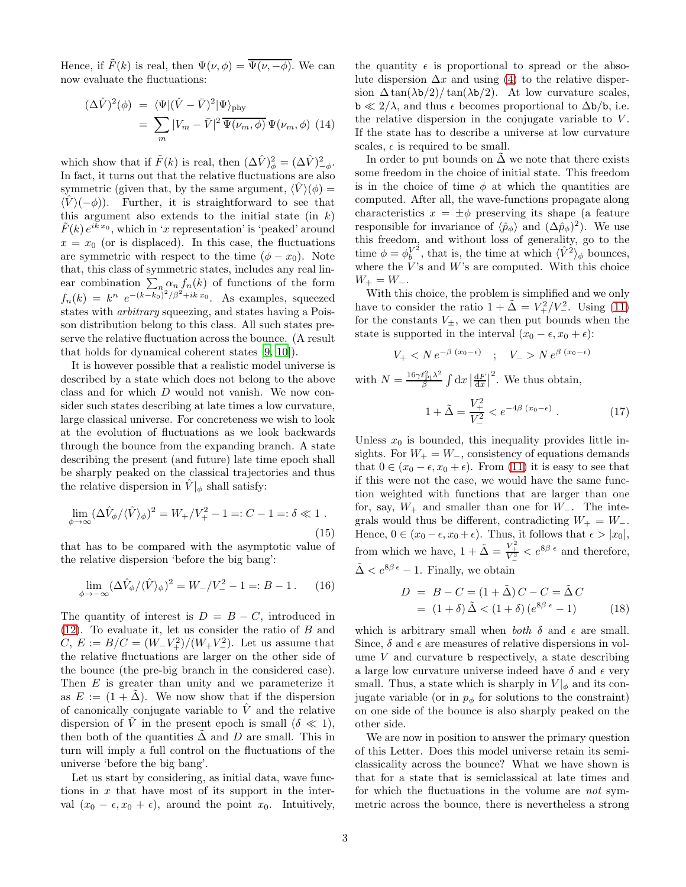Hence, if  $\tilde{F}(k)$  is real, then  $\Psi(\nu, \phi) = \overline{\Psi(\nu, -\phi)}$ . We can now evaluate the fluctuations:

$$
(\Delta \hat{V})^2(\phi) = \langle \Psi | (\hat{V} - \bar{V})^2 | \Psi \rangle_{\text{phy}}
$$
  
= 
$$
\sum_m |V_m - \bar{V}|^2 \overline{\Psi(\nu_m, \phi)} \Psi(\nu_m, \phi)
$$
 (14)

which show that if  $\tilde{F}(k)$  is real, then  $(\Delta \hat{V})^2_{\phi} = (\Delta \hat{V})^2_{-\phi}$ . In fact, it turns out that the relative fluctuations are also symmetric (given that, by the same argument,  $\langle V \rangle (\phi) =$  $\langle \hat{V} \rangle (-\phi)$ . Further, it is straightforward to see that this argument also extends to the initial state (in  $k$ )  $\tilde{F}(k) e^{i\tilde{k}x_0}$ , which in 'x representation' is 'peaked' around  $x = x_0$  (or is displaced). In this case, the fluctuations are symmetric with respect to the time  $(\phi - x_0)$ . Note that, this class of symmetric states, includes any real linear combination  $\sum_{n} \alpha_n f_n(k)$  of functions of the form  $f_n(k) = k^n e^{-(k-k_0)^2/\beta^2 + ikx_0}$ . As examples, squeezed states with arbitrary squeezing, and states having a Poisson distribution belong to this class. All such states preserve the relative fluctuation across the bounce. (A result that holds for dynamical coherent states [\[9](#page-4-8), [10](#page-4-9)]).

It is however possible that a realistic model universe is described by a state which does not belong to the above class and for which D would not vanish. We now consider such states describing at late times a low curvature, large classical universe. For concreteness we wish to look at the evolution of fluctuations as we look backwards through the bounce from the expanding branch. A state describing the present (and future) late time epoch shall be sharply peaked on the classical trajectories and thus the relative dispersion in  $\hat{V}|_{\phi}$  shall satisfy:

$$
\lim_{\phi \to \infty} (\Delta \hat{V}_{\phi} / \langle \hat{V} \rangle_{\phi})^2 = W_+ / V_+^2 - 1 =: C - 1 =: \delta \ll 1.
$$
\n(15)

that has to be compared with the asymptotic value of the relative dispersion 'before the big bang':

$$
\lim_{\phi \to -\infty} (\Delta \hat{V}_{\phi} / \langle \hat{V} \rangle_{\phi})^2 = W_{-} / V_{-}^2 - 1 =: B - 1. \tag{16}
$$

The quantity of interest is  $D = B - C$ , introduced in [\(12\)](#page-2-2). To evaluate it, let us consider the ratio of B and  $C, E := B/C = (W - V_+^2)/(W_+ V_-^2)$ . Let us assume that the relative fluctuations are larger on the other side of the bounce (the pre-big branch in the considered case). Then  $E$  is greater than unity and we parameterize it as  $E := (1 + \Delta)$ . We now show that if the dispersion of canonically conjugate variable to  $\hat{V}$  and the relative dispersion of  $\tilde{V}$  in the present epoch is small  $(\delta \ll 1)$ , then both of the quantities  $\Delta$  and  $D$  are small. This in turn will imply a full control on the fluctuations of the universe 'before the big bang'.

Let us start by considering, as initial data, wave functions in  $x$  that have most of its support in the interval  $(x_0 - \epsilon, x_0 + \epsilon)$ , around the point  $x_0$ . Intuitively,

the quantity  $\epsilon$  is proportional to spread or the absolute dispersion  $\Delta x$  and using [\(4\)](#page-2-3) to the relative dispersion  $\Delta \tan(\lambda b/2)/\tan(\lambda b/2)$ . At low curvature scales,  $b \ll 2/\lambda$ , and thus  $\epsilon$  becomes proportional to  $\Delta b/b$ , i.e. the relative dispersion in the conjugate variable to  $V$ . If the state has to describe a universe at low curvature scales,  $\epsilon$  is required to be small.

In order to put bounds on  $\tilde{\Delta}$  we note that there exists some freedom in the choice of initial state. This freedom is in the choice of time  $\phi$  at which the quantities are computed. After all, the wave-functions propagate along characteristics  $x = \pm \phi$  preserving its shape (a feature responsible for invariance of  $\langle \hat{p}_{\phi} \rangle$  and  $(\Delta \hat{p}_{\phi})^2$ ). We use this freedom, and without loss of generality, go to the time  $\phi = \phi_b^{V^2}$  $\hat{V}^2$ , that is, the time at which  $\langle \hat{V}^2 \rangle_{\phi}$  bounces, where the  $V$ 's and  $W$ 's are computed. With this choice  $W_+ = W_-.$ 

With this choice, the problem is simplified and we only have to consider the ratio  $1 + \tilde{\Delta} = V_+^2/V_-^2$ . Using [\(11\)](#page-2-4) for the constants  $V_{\pm}$ , we can then put bounds when the state is supported in the interval  $(x_0 - \epsilon, x_0 + \epsilon)$ :

 $V_{+} < N e^{-\beta (x_0 - \epsilon)}$  ;  $V_{-} > N e^{\beta (x_0 - \epsilon)}$ with  $N = \frac{16\gamma \ell_{\rm Pl}^2 \lambda^2}{\beta}$  $\frac{\ell_{\rm Pl}^2 \lambda^2}{\beta} \int \mathrm{d}x \left| \frac{\mathrm{d}F}{\mathrm{d}x} \right|$  $\overline{a}$ . We thus obtain,

$$
1 + \tilde{\Delta} = \frac{V_{+}^{2}}{V_{-}^{2}} < e^{-4\beta (x_{0} - \epsilon)} . \qquad (17)
$$

Unless  $x_0$  is bounded, this inequality provides little insights. For  $W_+ = W_-\$ , consistency of equations demands that  $0 \in (x_0 - \epsilon, x_0 + \epsilon)$ . From [\(11\)](#page-2-4) it is easy to see that if this were not the case, we would have the same function weighted with functions that are larger than one for, say,  $W_+$  and smaller than one for  $W_-\$ . The integrals would thus be different, contradicting  $W_+ = W_-.$ Hence,  $0 \in (x_0 - \epsilon, x_0 + \epsilon)$ . Thus, it follows that  $\epsilon > |x_0|$ , from which we have,  $1 + \tilde{\Delta} = \frac{V_+^2}{V_-^2} < e^{8\beta \epsilon}$  and therefore,  $\tilde{\Delta} < e^{8\beta \epsilon} - 1$ . Finally, we obtain

<span id="page-3-0"></span>
$$
D = B - C = (1 + \tilde{\Delta}) C - C = \tilde{\Delta} C
$$
  
= 
$$
(1 + \delta) \tilde{\Delta} < (1 + \delta) (e^{8\beta \epsilon} - 1)
$$
 (18)

which is arbitrary small when both  $\delta$  and  $\epsilon$  are small. Since,  $\delta$  and  $\epsilon$  are measures of relative dispersions in volume  $V$  and curvature  $\mathbf b$  respectively, a state describing a large low curvature universe indeed have  $\delta$  and  $\epsilon$  very small. Thus, a state which is sharply in  $V|_{\phi}$  and its conjugate variable (or in  $p_{\phi}$  for solutions to the constraint) on one side of the bounce is also sharply peaked on the other side.

We are now in position to answer the primary question of this Letter. Does this model universe retain its semiclassicality across the bounce? What we have shown is that for a state that is semiclassical at late times and for which the fluctuations in the volume are not symmetric across the bounce, there is nevertheless a strong